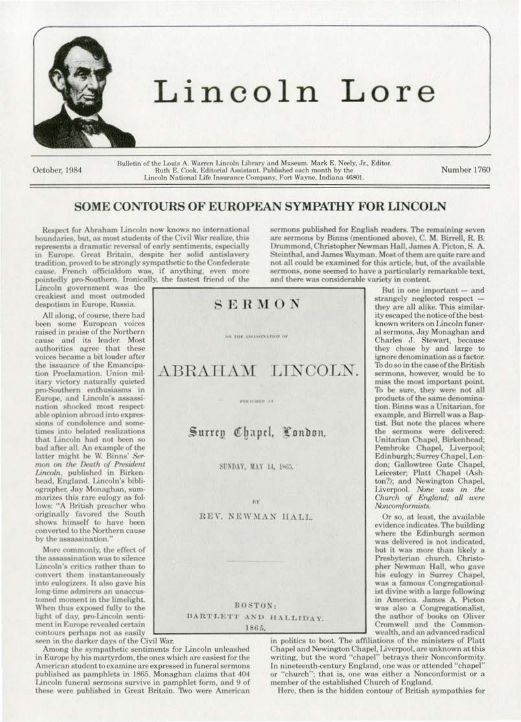

October, 1984

Bulletin of the Louis A. Warren Lincoln Library and Museum. Mark E. Neely, Jr., Editor.<br>Ruth E. Cook, Editorial Assistant. Published each month by the<br>Lincoln National Life Insurance Company, Fort Wayne, Indiana 46801.

Number 1760

## SOME CONTOURS OF EUROPEAN SYMPATHY FOR LINCOLN

SERMON

ON THE AUXINES ATION OF

ABRAHAM LINCOLN.

PERFORM XY

Respect for Abraham Lincoln now knows no international boundaries, but, as most students of the Civil War realize, this represents a dramatic reversal of early sentiments, especially in Europe. Great Britain, despite her solid antislavery tradition, proved to be strongly sympathetic to the Confederate cause. French officialdom was, if anything, even more pointedly pro-Southern. Ironically, the fastest friend of the

Lincoln government was the creakiest and most outmoded despotism in Europe, Russia.

All along, of course, there had been some European voices<br>raised in praise of the Northern cause and its leader. Most authorities agree that these voices became a bit louder after the issuance of the Emancipation Proclamation. Union military victory naturally quieted pro-Southern enthusiasms in<br>Europe, and Lincoln's assassination shocked most respectable opinion abroad into expressions of condolence and sometimes into belated realizations that Lincoln had not been so bad after all. An example of the latter might be W. Binns' Sermon on the Death of President Lincoln, published in Birkenhead, England. Lincoln's bibliographer, Jay Monaghan, summarizes this rare eulogy as follows: "A British preacher who originally favored the South shows himself to have been converted to the Northern cause by the assassination."

More commonly, the effect of the assassination was to silence Lincoln's critics rather than to convert them instantaneously into eulogizers. It also gave his long-time admirers an unaccustomed moment in the limelight. When thus exposed fully to the light of day, pro-Lincoln sentiment in Europe revealed certain contours perhaps not as easily

seen in the darker days of the Civil War.

Among the sympathetic sentiments for Lincoln unleashed in Europe by his martyrdom, the ones which are easiest for the American student to examine are expressed in funeral sermons published as pamphlets in 1865. Monaghan claims that 404 Lincoln funeral sermons survive in pamphlet form, and 9 of these were published in Great Britain. Two were American

sermons published for English readers. The remaining seven are sermons by Binns (mentioned above), C. M. Birrell, R. B. Drummond, Christopher Newman Hall, James A. Picton, S. A. Steinthal, and James Wayman. Most of them are quite rare and not all could be examined for this article, but, of the available sermons, none seemed to have a particularly remarkable text, and there was considerable variety in content.

But in one important - and strangely neglected respect they are all alike. This similarity escaped the notice of the bestknown writers on Lincoln funeral sermons, Jay Monaghan and Charles J. Stewart, because<br>they chose by and large to ignore denomination as a factor. To do so in the case of the British sermons, however, would be to miss the most important point. To be sure, they were not all products of the same denomination. Binns was a Unitarian, for example, and Birrell was a Baptist. But note the places where the sermons were delivered: Unitarian Chapel, Birkenhead; Pembroke Chapel, Liverpool;<br>Edinburgh; Surrey Chapel, London; Gallowtree Gate Chapel, Leicester; Platt Chapel (Ashton?); and Newington Chapel, Liverpool. None was in the<br>Church of England; all were Noncomformists.

Or so, at least, the available evidence indicates. The building where the Edinburgh sermon was delivered is not indicated. but it was more than likely a Presbyterian church. Christopher Newman Hall, who gave his eulogy in Surrey Chapel, was a famous Congregationalist divine with a large following in America. James A. Picton was also a Congregationalist, the author of books on Oliver Cromwell and the Commonwealth, and an advanced radical

in politics to boot. The affiliations of the ministers of Platt Chapel and Newington Chapel, Liverpool, are unknown at this<br>writing, but the word "chapel" betrays their Nonconformity. In nineteenth-century England, one was or attended "chapel" or "church"; that is, one was either a Nonconformist or a member of the established Church of England.

Here, then is the hidden contour of British sympathies for

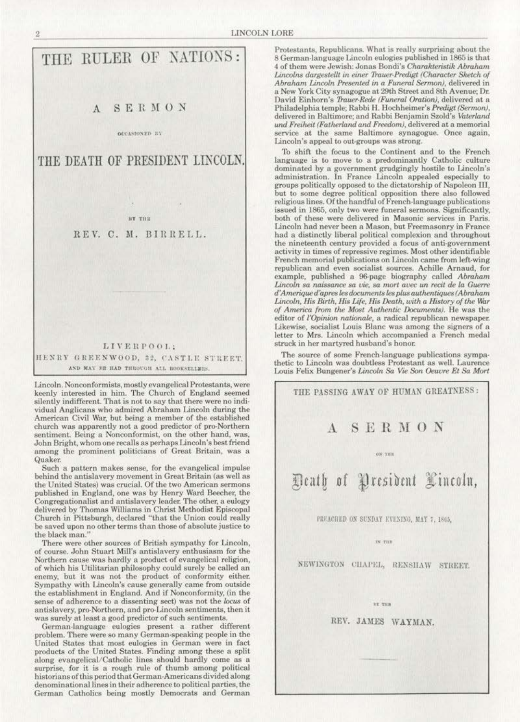

Lincoln. Nonconformists, mostly evangelical Protestants, were keenly interested in him. The Church of England seemed silently indifferent. That is not to say that there were no individual Anglicans who admired Abraham Lincoln during the American Civil War, but being a member of the established church was apparently not a good predictor of pro-Northern sentiment. Being a Nonconformist, on the other hand, was, John Bright, whom one recalls as perhaps Lincoln's best friend among the prominent politicians of Great Britain. was a Quaker.

Such a pattern makes sense, for the evangelical impulse behind the antislavery movement in Great Britain (as well as the United States) was crucial. Of the two American sermons published in England, one was by Henry Ward Beecher, the Congregationalist and antislavery leader. The other, a eulogy delivered by Thomas Williams in Christ Methodist Episcopal Church in Pittsburgh, declared "that the Union could really be saved upon no other terms than those of absolute justice to the black man.

There were other sources of British sympathy for Lincoln, of course. John Stuart Mill's antislavery enthusiasm for the Northern cause was hardly a product of evangelical religion, of which his Utilitarian philosophy could surely be called an enemy, but it was not the product of conformity either. Sympathy with Lincoln's cause generally came from outside the establishment in England. And if Nonconformity, (in the sense of adherence to a dissenting sect) was not the locus of antislavery, pro-Northern, and pro-Linooln sentiments, then it was surely at least a good predictor of such sentiments.

German-language eulogies present a rather different problem. There were so many German-speaking people in the United States that most eulogies in German were in fact products of the United States. Finding among these a split along evangelical/Catholic lines should hardly come as a surprise. for it is a rough rule of thumb among political historians of this period that German-Americans divided along denominational lines in their adherence to political parties, the German Catholics being mostly Democrats and German

Protestants, Republicans. What is really surprising about the 8 German.Janguage Lincoln eulogies published in 1865 is that 4 of them were Jewish: Jonas Bondi's *Charakteristik* Abraham Lincolns dargestellt in einer Trauer-Predigt (Character Sketch of *Abraham Lincoln Presented in a Funeral Sermon)*, delivered in a New York City synagogue at 29th Street and 8th Avenue; Dr. David Einhorn's *Trauer-Rede (Funeral Oration)*, delivered at a Philadelphia temple; Rabbi H. Hochheimer's *Predigt (Sermon)*, delivered in Baltimore; and Rabbi Benjamin Szold's Vaterland und Freiheit (Fatherland and Freedom), delivered at a memorial service at the same Baltimore synagogue. Once again, Lincoln's appeal to out-groups was strong.

To shift the focus to the Continent and to the French language is to move to a predominantly Catholic culture dominated by a government grudgingly hostile to Lincoln's administration. In France Lincoln appealed especially to groups politically opposed to the dictatorship of Napoleon III, but to some degree political opposition there also followed religious lines. Of the handful of French-language publications issued in 1865, only two were funeral sermons. Significantly, both of these were delivered in Masonic services in Paris. Lincoln had never been a Mason, but Freemasonry in France had a distinctly liberal political complexion and throughout the nineteenth century provided a focus of anti-government activity in times of repressive regimes. Most other identifiable French memorial publications on Lincoln came from left-wing republican and even socialist sources. Achille Arnaud, for example, published a 96-page biography called *Abraham* Lincoln sa naissance sa vie, sa mort avec un recit de la Guerre *d'Amerique d'apres les documents les plus authentiques (Abraham* Lincoln, His Birth, His Life, His Death, with a History of the War *of America from the Most Authentic Documents).* He was the editor of */'Opinion nationale,* a radical republican newspaper. Likewise, socialist Louis Blanc was among the signers of a letter to Mrs. Lincoln which accompanied a French medal struck in her martyred husband's honor.

The source of some French-language publications sympa· thetic to Lincoln was doubtless Protestant as well. Laurence Louis Felix Bungener's *Lincoln* Sa *Vre Son Oeuure Et* Sa Mort

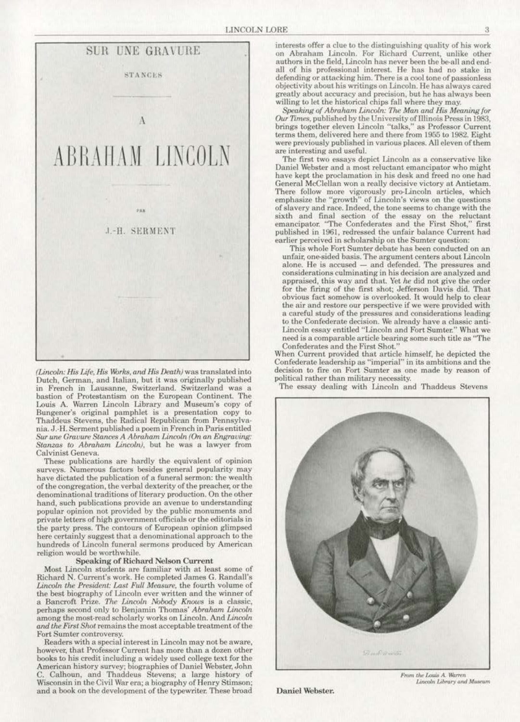

*(Lincoln;* His J.i{e, His 1\br,.,, ond *frtS Death)* was translated into Dutch, German, and Italian, but it was originally published in French in Lausanne, Switzerland. Switzerland was a bastion of Protestantism on the European Continent. The Louis A. Warren Lincoln Library and Museum's copy of Bungener's original pamphlet is a presentation copy to Thaddeus Stevens, the Radical Republican from Pennsylvania. J.-H. Serment published a poem in French in Paris entitled Sur une Gravure Stances A Abraham Lincoln (On an Engraving: Stanzas to Abraham Lincoln), but he was a lawyer from Calvinist Geneva.

These publications are hardly the equivalent of opinion surveys. Numerous factors besides general popularity may have dictated the publication of a funeral sermon: the wealth of the congregation, the verbal dexterity of the preacher, or the denominational traditions of literary production. On the other hand, such publications provide an avenue to understanding popular opinion not provided by the public monuments and private letters of high government officials or the editorials in the party press. The contours of European opinion glimpsed here certainly suggest that a denominational approach to the hundreds of Lincoln funeral sermons produced by American religion would be worthwhile.

## Speaking of Richard Nelson Current

Most Lincoln students are familiar with at least some of Richard N. Current's work. He completed James G. Randall's *Lincoln the President: Last Full Measure, the fourth volume of* the best biography of Lincoln ever written and the winner of a Bancroft Prize. The Lincoln Nobody Knows is a classic, perhaps second only to Benjamin Thomas' *Abraham Lincoln* among the most-read scholarly works on Lincoln. And *Lincoln and the First Shot* remains the most acceptable treatment of the Fort Sumter controversy.

Readers with a special interest in Lincoln may not be aware. however, that Professor Current has more than a dozen other books to his credit including a widely used college text for the American history survey; biographies of Daniel Webster. John C. Calhoun, and Thaddeus Stevens; a large history of Wisconsin in the Civil War era; a biography of Henry Stimson; and a book on the development of the typewriter. These broad

interests offer a clue to the distinguishing quality of his work on Abraham Lincoln. For Richard Current, unlike other authors in the field, Lincoln has never been the be-all and end-<br>all of his professional interest. He has had no stake in defending or attacking him. There is a cool tone of passionless objectivity about his writings on Lincoln. He has always cared greatly about accuracy and precision, but he has always been willing to let the historical chips fall where they may.

Speaking of Abraham Lincoln: The Man and His Meaning for Our Times, published by the University of Illinois Press in 1983, brings together eleven Lincoln "talks," as Professor Current. terms them, delivered here and there from 1955 to 1982. Eight were previously published in various places. All eleven of them are interesting a nd useful.

The first two essays depict Lincoln as a conservative like Daniel Webster and a most reluctant emancipator who might have kept the proclamation in his desk and freed no one had General McClellan won a really decisive victory at Antietam. There follow more vigorously pro-Lincoln articles, which emphasize the "growth" of Lincoln's views on the questions of slavery and race. Indeed. the tone seems to change with the sixth and final section of the essay on the reluctant emancipator. "The Confederates and the First Shot," first published in 1961, redressed the unfair balance Current had earlier perceived in scholarship on the Sumter question:

This whole Fort Sumter debate has been conducted on an unfair. one-sided basis. The argument centers about Lincoln alone. He is accused - and defended. The pressures and considerations culminating in his decision are analyzed and appraised, this way and that. Yet he did not give the order for the firing of the first shot; Jefferson Davis did. That obvious fact. somehow is overlooked. lt would help to clear the air and restore our perspective if we were provided with a careful study of the pressures and considerations leading to the Confederate decision. We already have a classic anti· Lincoln essay entitled "Lincoln and Fort Sumter:" What we need is a comparable article bearing some such title as "The Confederates and the First Shot.''

When Current provided that article himself, he depicted the Confederate leadership as "imperial" in its ambitions and the decision to fire on Fort Sumter as one made by reason of political rather than military necessity.

The essay dealing with Lincoln and Thaddeus Stevens



Daniel Webster.

From the Louis A. Warren Lincoln Library and Museum